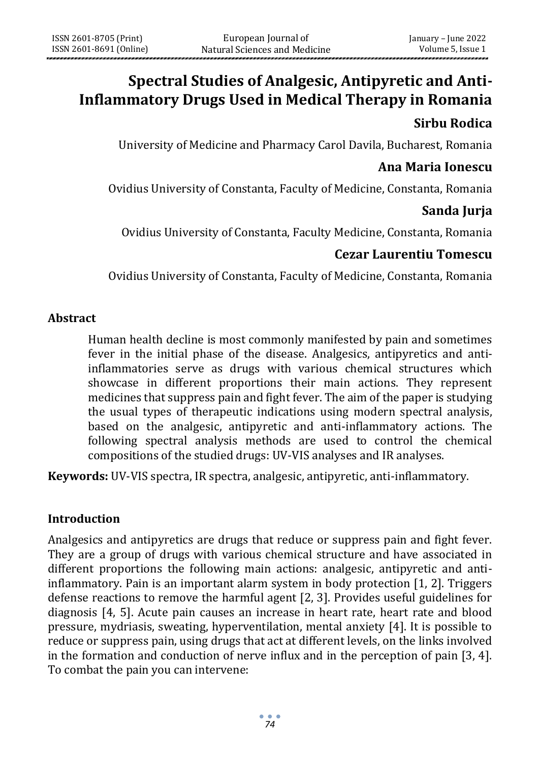# **Spectral Studies of Analgesic, Antipyretic and Anti-Inflammatory Drugs Used in Medical Therapy in Romania**

# **Sirbu Rodica**

University of Medicine and Pharmacy Carol Davila, Bucharest, Romania

# **Ana Maria Ionescu**

Ovidius University of Constanta, Faculty of Medicine, Constanta, Romania

# **Sanda Jurja**

Ovidius University of Constanta, Faculty Medicine, Constanta, Romania

# **Cezar Laurentiu Tomescu**

Ovidius University of Constanta, Faculty of Medicine, Constanta, Romania

#### **Abstract**

Human health decline is most commonly manifested by pain and sometimes fever in the initial phase of the disease. Analgesics, antipyretics and antiinflammatories serve as drugs with various chemical structures which showcase in different proportions their main actions. They represent medicines that suppress pain and fight fever. The aim of the paper is studying the usual types of therapeutic indications using modern spectral analysis, based on the analgesic, antipyretic and anti-inflammatory actions. The following spectral analysis methods are used to control the chemical compositions of the studied drugs: UV-VIS analyses and IR analyses.

**Keywords:** UV-VIS spectra, IR spectra, analgesic, antipyretic, anti-inflammatory.

# **Introduction**

Analgesics and antipyretics are drugs that reduce or suppress pain and fight fever. They are a group of drugs with various chemical structure and have associated in different proportions the following main actions: analgesic, antipyretic and antiinflammatory. Pain is an important alarm system in body protection [1, 2]. Triggers defense reactions to remove the harmful agent [2, 3]. Provides useful guidelines for diagnosis [4, 5]. Acute pain causes an increase in heart rate, heart rate and blood pressure, mydriasis, sweating, hyperventilation, mental anxiety [4]. It is possible to reduce or suppress pain, using drugs that act at different levels, on the links involved in the formation and conduction of nerve influx and in the perception of pain [3, 4]. To combat the pain you can intervene: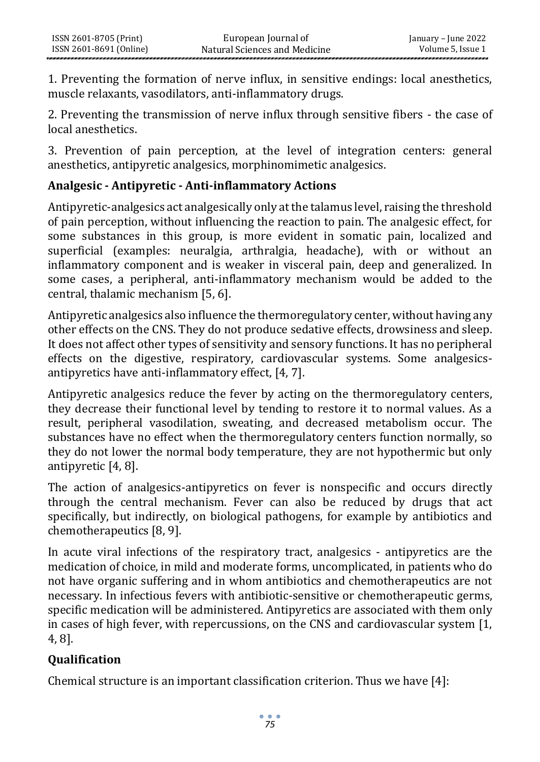1. Preventing the formation of nerve influx, in sensitive endings: local anesthetics, muscle relaxants, vasodilators, anti-inflammatory drugs.

2. Preventing the transmission of nerve influx through sensitive fibers - the case of local anesthetics.

3. Prevention of pain perception, at the level of integration centers: general anesthetics, antipyretic analgesics, morphinomimetic analgesics.

# **Analgesic - Antipyretic - Anti-inflammatory Actions**

Antipyretic-analgesics act analgesically only at the talamus level, raising the threshold of pain perception, without influencing the reaction to pain. The analgesic effect, for some substances in this group, is more evident in somatic pain, localized and superficial (examples: neuralgia, arthralgia, headache), with or without an inflammatory component and is weaker in visceral pain, deep and generalized. In some cases, a peripheral, anti-inflammatory mechanism would be added to the central, thalamic mechanism [5, 6].

Antipyretic analgesics also influence the thermoregulatory center, without having any other effects on the CNS. They do not produce sedative effects, drowsiness and sleep. It does not affect other types of sensitivity and sensory functions. It has no peripheral effects on the digestive, respiratory, cardiovascular systems. Some analgesicsantipyretics have anti-inflammatory effect, [4, 7].

Antipyretic analgesics reduce the fever by acting on the thermoregulatory centers, they decrease their functional level by tending to restore it to normal values. As a result, peripheral vasodilation, sweating, and decreased metabolism occur. The substances have no effect when the thermoregulatory centers function normally, so they do not lower the normal body temperature, they are not hypothermic but only antipyretic [4, 8].

The action of analgesics-antipyretics on fever is nonspecific and occurs directly through the central mechanism. Fever can also be reduced by drugs that act specifically, but indirectly, on biological pathogens, for example by antibiotics and chemotherapeutics [8, 9].

In acute viral infections of the respiratory tract, analgesics - antipyretics are the medication of choice, in mild and moderate forms, uncomplicated, in patients who do not have organic suffering and in whom antibiotics and chemotherapeutics are not necessary. In infectious fevers with antibiotic-sensitive or chemotherapeutic germs, specific medication will be administered. Antipyretics are associated with them only in cases of high fever, with repercussions, on the CNS and cardiovascular system [1, 4, 8].

# **Qualification**

Chemical structure is an important classification criterion. Thus we have [4]: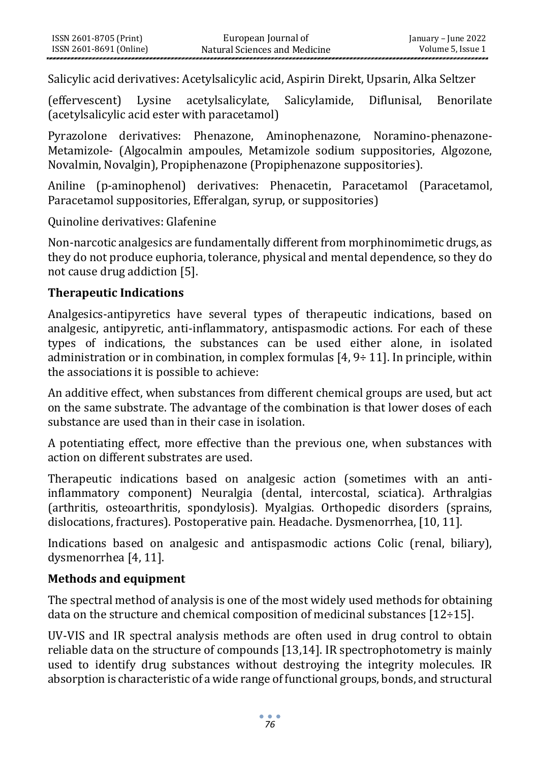Salicylic acid derivatives: Acetylsalicylic acid, Aspirin Direkt, Upsarin, Alka Seltzer

(effervescent) Lysine acetylsalicylate, Salicylamide, Diflunisal, Benorilate (acetylsalicylic acid ester with paracetamol)

Pyrazolone derivatives: Phenazone, Aminophenazone, Noramino-phenazone-Metamizole- (Algocalmin ampoules, Metamizole sodium suppositories, Algozone, Novalmin, Novalgin), Propiphenazone (Propiphenazone suppositories).

Aniline (p-aminophenol) derivatives: Phenacetin, Paracetamol (Paracetamol, Paracetamol suppositories, Efferalgan, syrup, or suppositories)

Quinoline derivatives: Glafenine

Non-narcotic analgesics are fundamentally different from morphinomimetic drugs, as they do not produce euphoria, tolerance, physical and mental dependence, so they do not cause drug addiction [5].

#### **Therapeutic Indications**

Analgesics-antipyretics have several types of therapeutic indications, based on analgesic, antipyretic, anti-inflammatory, antispasmodic actions. For each of these types of indications, the substances can be used either alone, in isolated administration or in combination, in complex formulas [4, 9÷ 11]. In principle, within the associations it is possible to achieve:

An additive effect, when substances from different chemical groups are used, but act on the same substrate. The advantage of the combination is that lower doses of each substance are used than in their case in isolation.

A potentiating effect, more effective than the previous one, when substances with action on different substrates are used.

Therapeutic indications based on analgesic action (sometimes with an antiinflammatory component) Neuralgia (dental, intercostal, sciatica). Arthralgias (arthritis, osteoarthritis, spondylosis). Myalgias. Orthopedic disorders (sprains, dislocations, fractures). Postoperative pain. Headache. Dysmenorrhea, [10, 11].

Indications based on analgesic and antispasmodic actions Colic (renal, biliary), dysmenorrhea [4, 11].

# **Methods and equipment**

The spectral method of analysis is one of the most widely used methods for obtaining data on the structure and chemical composition of medicinal substances  $[12 \div 15]$ .

UV-VIS and IR spectral analysis methods are often used in drug control to obtain reliable data on the structure of compounds [13,14]. IR spectrophotometry is mainly used to identify drug substances without destroying the integrity molecules. IR absorption is characteristic of a wide range of functional groups, bonds, and structural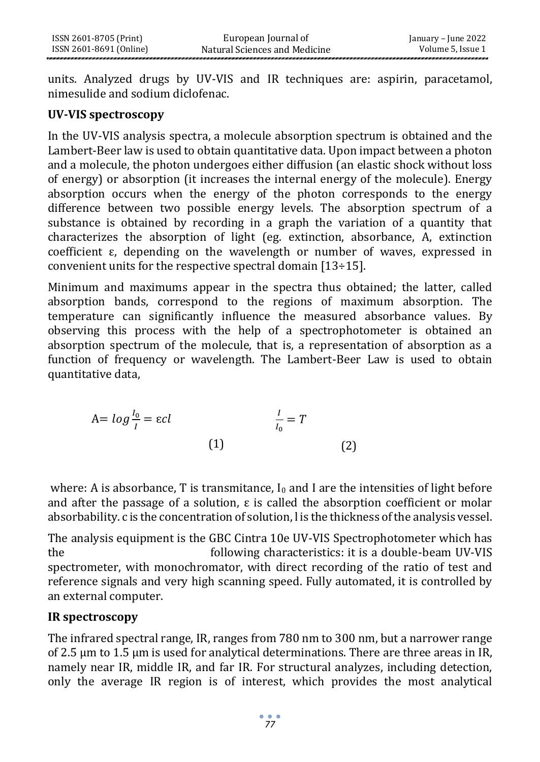units. Analyzed drugs by UV-VIS and IR techniques are: aspirin, paracetamol, nimesulide and sodium diclofenac.

#### **UV-VIS spectroscopy**

In the UV-VIS analysis spectra, a molecule absorption spectrum is obtained and the Lambert-Beer law is used to obtain quantitative data. Upon impact between a photon and a molecule, the photon undergoes either diffusion (an elastic shock without loss of energy) or absorption (it increases the internal energy of the molecule). Energy absorption occurs when the energy of the photon corresponds to the energy difference between two possible energy levels. The absorption spectrum of a substance is obtained by recording in a graph the variation of a quantity that characterizes the absorption of light (eg. extinction, absorbance, A, extinction coefficient ε, depending on the wavelength or number of waves, expressed in convenient units for the respective spectral domain [13÷15].

Minimum and maximums appear in the spectra thus obtained; the latter, called absorption bands, correspond to the regions of maximum absorption. The temperature can significantly influence the measured absorbance values. By observing this process with the help of a spectrophotometer is obtained an absorption spectrum of the molecule, that is, a representation of absorption as a function of frequency or wavelength. The Lambert-Beer Law is used to obtain quantitative data,

$$
A = \log \frac{I_0}{I} = \varepsilon cl \qquad \qquad \frac{I}{I_0} = T
$$
\n
$$
(1)
$$
\n
$$
(2)
$$

where: A is absorbance, T is transmitance,  $I_0$  and I are the intensities of light before and after the passage of a solution, ε is called the absorption coefficient or molar absorbability. c is the concentration of solution, l is the thickness of the analysis vessel.

The analysis equipment is the GBC Cintra 10e UV-VIS Spectrophotometer which has the following characteristics: it is a double-beam UV-VIS spectrometer, with monochromator, with direct recording of the ratio of test and reference signals and very high scanning speed. Fully automated, it is controlled by an external computer.

#### **IR spectroscopy**

The infrared spectral range, IR, ranges from 780 nm to 300 nm, but a narrower range of 2.5 μm to 1.5 μm is used for analytical determinations. There are three areas in IR, namely near IR, middle IR, and far IR. For structural analyzes, including detection, only the average IR region is of interest, which provides the most analytical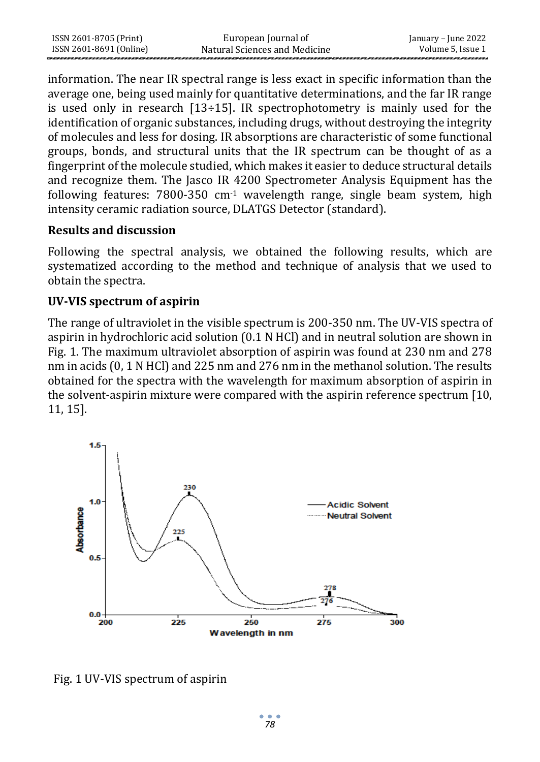| ISSN 2601-8705 (Print)  | European Journal of           | January – June 2022 |
|-------------------------|-------------------------------|---------------------|
| ISSN 2601-8691 (Online) | Natural Sciences and Medicine | Volume 5, Issue 1   |

information. The near IR spectral range is less exact in specific information than the average one, being used mainly for quantitative determinations, and the far IR range is used only in research  $[13 \div 15]$ . IR spectrophotometry is mainly used for the identification of organic substances, including drugs, without destroying the integrity of molecules and less for dosing. IR absorptions are characteristic of some functional groups, bonds, and structural units that the IR spectrum can be thought of as a fingerprint of the molecule studied, which makes it easier to deduce structural details and recognize them. The Jasco IR 4200 Spectrometer Analysis Equipment has the following features: 7800-350 cm-1 wavelength range, single beam system, high intensity ceramic radiation source, DLATGS Detector (standard).

#### **Results and discussion**

Following the spectral analysis, we obtained the following results, which are systematized according to the method and technique of analysis that we used to obtain the spectra.

### **UV-VIS spectrum of aspirin**

The range of ultraviolet in the visible spectrum is 200-350 nm. The UV-VIS spectra of aspirin in hydrochloric acid solution (0.1 N HCl) and in neutral solution are shown in Fig. 1. The maximum ultraviolet absorption of aspirin was found at 230 nm and 278 nm in acids (0, 1 N HCl) and 225 nm and 276 nm in the methanol solution. The results obtained for the spectra with the wavelength for maximum absorption of aspirin in the solvent-aspirin mixture were compared with the aspirin reference spectrum [10, 11, 15].



Fig. 1 UV-VIS spectrum of aspirin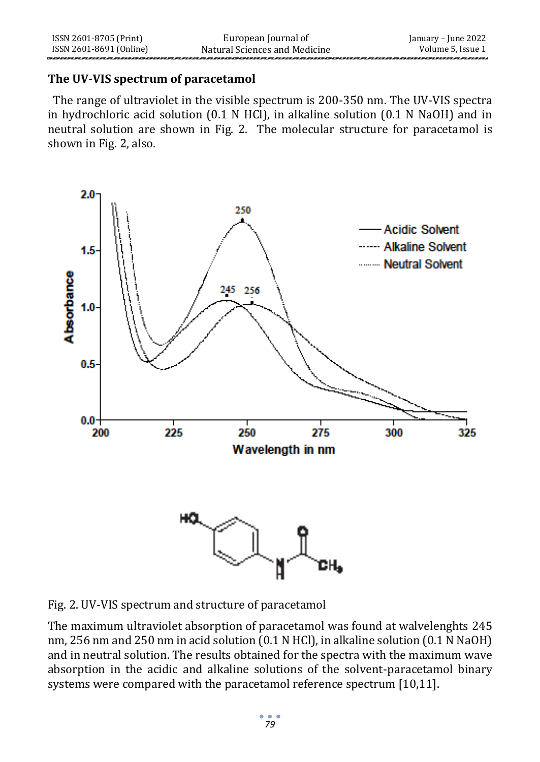#### **The UV-VIS spectrum of paracetamol**

 The range of ultraviolet in the visible spectrum is 200-350 nm. The UV-VIS spectra in hydrochloric acid solution (0.1 N HCl), in alkaline solution (0.1 N NaOH) and in neutral solution are shown in Fig. 2. The molecular structure for paracetamol is shown in Fig. 2, also.



Fig. 2. UV-VIS spectrum and structure of paracetamol

The maximum ultraviolet absorption of paracetamol was found at walvelenghts 245 nm, 256 nm and 250 nm in acid solution (0.1 N HCl), in alkaline solution (0.1 N NaOH) and in neutral solution. The results obtained for the spectra with the maximum wave absorption in the acidic and alkaline solutions of the solvent-paracetamol binary systems were compared with the paracetamol reference spectrum [10,11].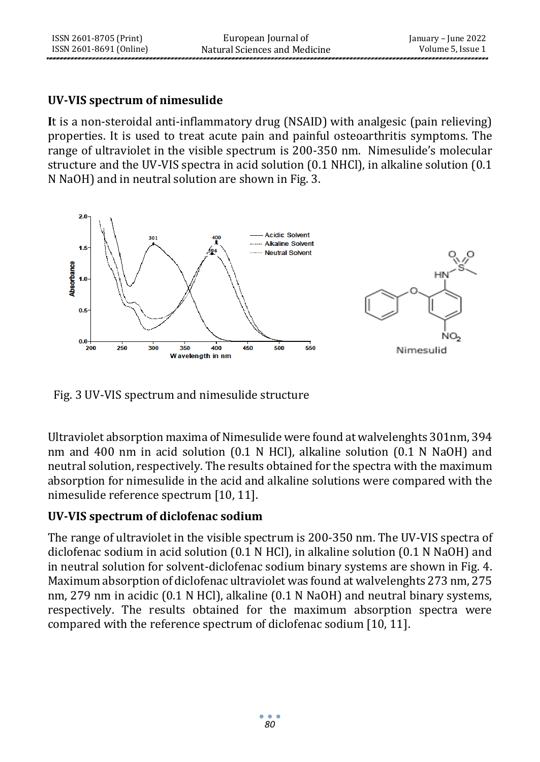### **UV-VIS spectrum of nimesulide**

**I**t is a non-steroidal anti-inflammatory drug (NSAID) with analgesic (pain relieving) properties. It is used to treat acute pain and painful osteoarthritis symptoms. The range of ultraviolet in the visible spectrum is 200-350 nm. Nimesulide's molecular structure and the UV-VIS spectra in acid solution (0.1 NHCl), in alkaline solution (0.1 N NaOH) and in neutral solution are shown in Fig. 3.



Fig. 3 UV-VIS spectrum and nimesulide structure

Ultraviolet absorption maxima of Nimesulide were found at walvelenghts 301nm, 394 nm and 400 nm in acid solution (0.1 N HCl), alkaline solution (0.1 N NaOH) and neutral solution, respectively. The results obtained for the spectra with the maximum absorption for nimesulide in the acid and alkaline solutions were compared with the nimesulide reference spectrum [10, 11].

# **UV-VIS spectrum of diclofenac sodium**

The range of ultraviolet in the visible spectrum is 200-350 nm. The UV-VIS spectra of diclofenac sodium in acid solution (0.1 N HCl), in alkaline solution (0.1 N NaOH) and in neutral solution for solvent-diclofenac sodium binary systems are shown in Fig. 4. Maximum absorption of diclofenac ultraviolet was found at walvelenghts 273 nm, 275 nm, 279 nm in acidic (0.1 N HCl), alkaline (0.1 N NaOH) and neutral binary systems, respectively. The results obtained for the maximum absorption spectra were compared with the reference spectrum of diclofenac sodium [10, 11].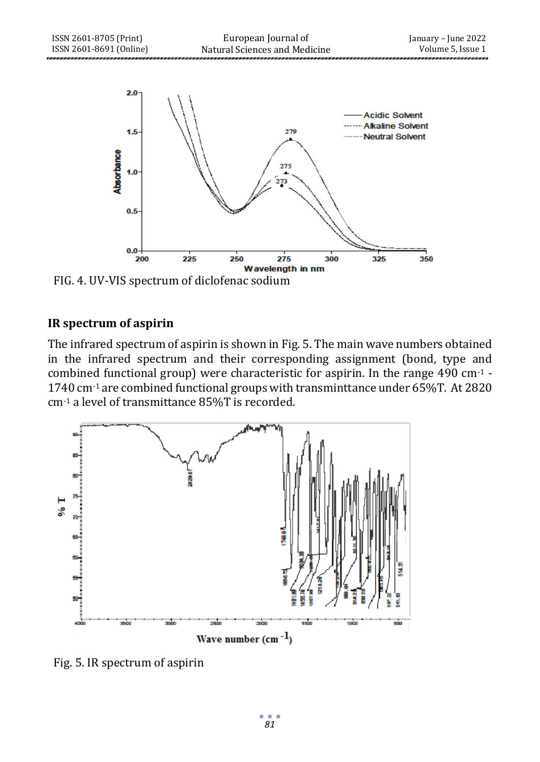

FIG. 4. UV-VIS spectrum of diclofenac sodium

### **IR spectrum of aspirin**

The infrared spectrum of aspirin is shown in Fig. 5. The main wave numbers obtained in the infrared spectrum and their corresponding assignment (bond, type and combined functional group) were characteristic for aspirin. In the range 490 cm-1 - 1740 cm-1 are combined functional groups with transminttance under 65%T. At 2820 cm-1 a level of transmittance 85%T is recorded.



Fig. 5. IR spectrum of aspirin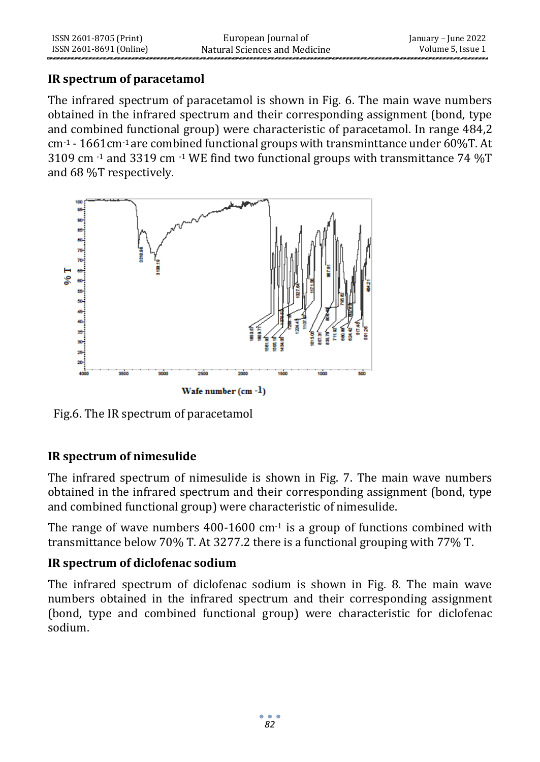### **IR spectrum of paracetamol**

The infrared spectrum of paracetamol is shown in Fig. 6. The main wave numbers obtained in the infrared spectrum and their corresponding assignment (bond, type and combined functional group) were characteristic of paracetamol. In range 484,2 cm-1 - 1661cm-1 are combined functional groups with transminttance under 60%T. At 3109 cm -1 and 3319 cm -1 WE find two functional groups with transmittance 74 %T and 68 %T respectively.



Fig.6. The IR spectrum of paracetamol

# **IR spectrum of nimesulide**

The infrared spectrum of nimesulide is shown in Fig. 7. The main wave numbers obtained in the infrared spectrum and their corresponding assignment (bond, type and combined functional group) were characteristic of nimesulide.

The range of wave numbers  $400-1600$  cm<sup>-1</sup> is a group of functions combined with transmittance below 70% T. At 3277.2 there is a functional grouping with 77% T.

# **IR spectrum of diclofenac sodium**

The infrared spectrum of diclofenac sodium is shown in Fig. 8. The main wave numbers obtained in the infrared spectrum and their corresponding assignment (bond, type and combined functional group) were characteristic for diclofenac sodium.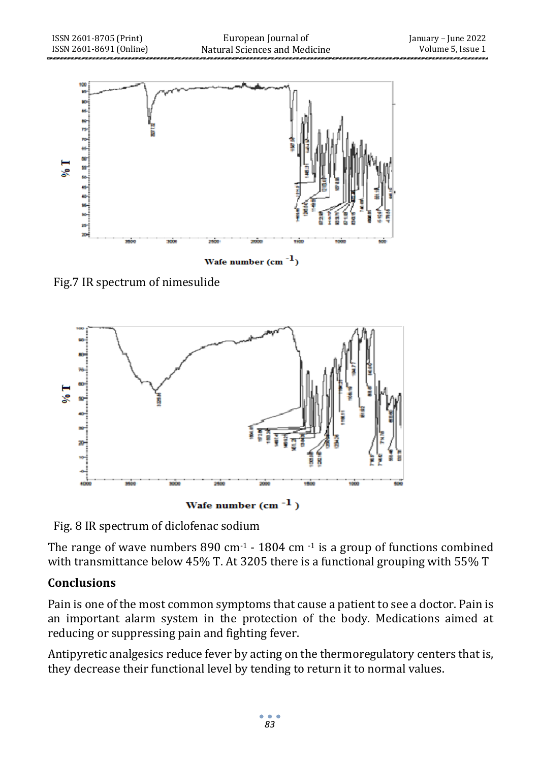

Fig.7 IR spectrum of nimesulide



Fig. 8 IR spectrum of diclofenac sodium

The range of wave numbers 890 cm $-1$  - 1804 cm $-1$  is a group of functions combined with transmittance below 45% T. At 3205 there is a functional grouping with 55% T

# **Conclusions**

Pain is one of the most common symptoms that cause a patient to see a doctor. Pain is an important alarm system in the protection of the body. Medications aimed at reducing or suppressing pain and fighting fever.

Antipyretic analgesics reduce fever by acting on the thermoregulatory centers that is, they decrease their functional level by tending to return it to normal values.